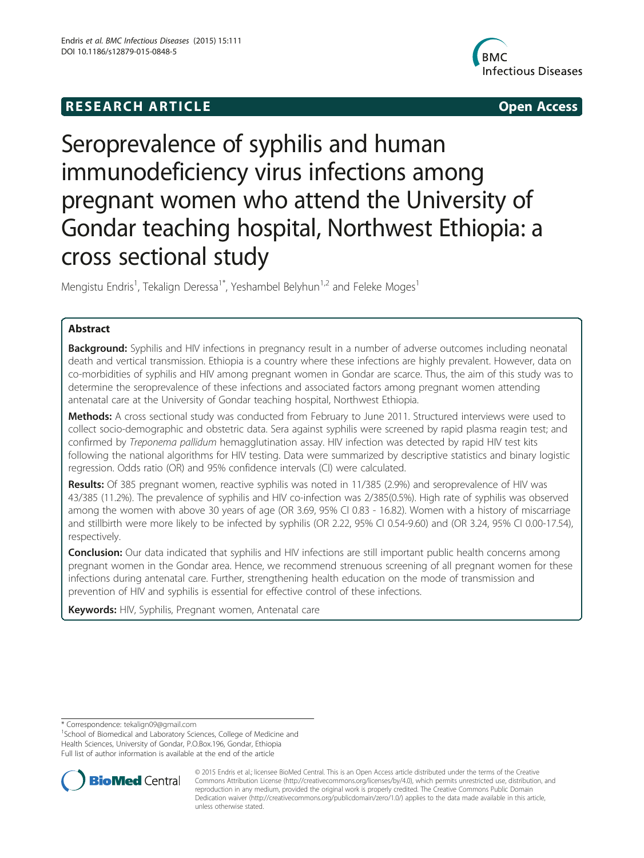## **RESEARCH ARTICLE Example 2014 The SEAR CH ACCESS**



# Seroprevalence of syphilis and human immunodeficiency virus infections among pregnant women who attend the University of Gondar teaching hospital, Northwest Ethiopia: a cross sectional study

Mengistu Endris<sup>1</sup>, Tekalign Deressa<sup>1\*</sup>, Yeshambel Belyhun<sup>1,2</sup> and Feleke Moges<sup>1</sup>

### Abstract

**Background:** Syphilis and HIV infections in pregnancy result in a number of adverse outcomes including neonatal death and vertical transmission. Ethiopia is a country where these infections are highly prevalent. However, data on co-morbidities of syphilis and HIV among pregnant women in Gondar are scarce. Thus, the aim of this study was to determine the seroprevalence of these infections and associated factors among pregnant women attending antenatal care at the University of Gondar teaching hospital, Northwest Ethiopia.

Methods: A cross sectional study was conducted from February to June 2011. Structured interviews were used to collect socio-demographic and obstetric data. Sera against syphilis were screened by rapid plasma reagin test; and confirmed by Treponema pallidum hemagglutination assay. HIV infection was detected by rapid HIV test kits following the national algorithms for HIV testing. Data were summarized by descriptive statistics and binary logistic regression. Odds ratio (OR) and 95% confidence intervals (CI) were calculated.

Results: Of 385 pregnant women, reactive syphilis was noted in 11/385 (2.9%) and seroprevalence of HIV was 43/385 (11.2%). The prevalence of syphilis and HIV co-infection was 2/385(0.5%). High rate of syphilis was observed among the women with above 30 years of age (OR 3.69, 95% CI 0.83 - 16.82). Women with a history of miscarriage and stillbirth were more likely to be infected by syphilis (OR 2.22, 95% CI 0.54-9.60) and (OR 3.24, 95% CI 0.00-17.54), respectively.

Conclusion: Our data indicated that syphilis and HIV infections are still important public health concerns among pregnant women in the Gondar area. Hence, we recommend strenuous screening of all pregnant women for these infections during antenatal care. Further, strengthening health education on the mode of transmission and prevention of HIV and syphilis is essential for effective control of these infections.

Keywords: HIV, Syphilis, Pregnant women, Antenatal care

<sup>&</sup>lt;sup>1</sup>School of Biomedical and Laboratory Sciences, College of Medicine and Health Sciences, University of Gondar, P.O.Box.196, Gondar, Ethiopia Full list of author information is available at the end of the article



© 2015 Endris et al.; licensee BioMed Central. This is an Open Access article distributed under the terms of the Creative Commons Attribution License [\(http://creativecommons.org/licenses/by/4.0\)](http://creativecommons.org/licenses/by/4.0), which permits unrestricted use, distribution, and reproduction in any medium, provided the original work is properly credited. The Creative Commons Public Domain Dedication waiver [\(http://creativecommons.org/publicdomain/zero/1.0/](http://creativecommons.org/publicdomain/zero/1.0/)) applies to the data made available in this article, unless otherwise stated.

<sup>\*</sup> Correspondence: [tekalign09@gmail.com](mailto:tekalign09@gmail.com) <sup>1</sup>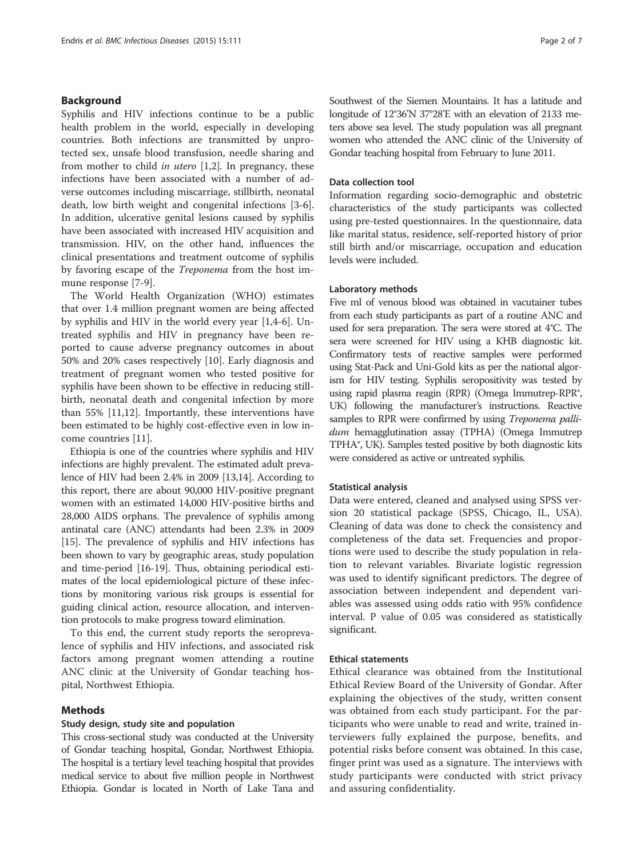#### Background

Syphilis and HIV infections continue to be a public health problem in the world, especially in developing countries. Both infections are transmitted by unprotected sex, unsafe blood transfusion, needle sharing and from mother to child in utero [[1](#page-5-0),[2](#page-5-0)]. In pregnancy, these infections have been associated with a number of adverse outcomes including miscarriage, stillbirth, neonatal death, low birth weight and congenital infections [[3-6](#page-5-0)]. In addition, ulcerative genital lesions caused by syphilis have been associated with increased HIV acquisition and transmission. HIV, on the other hand, influences the clinical presentations and treatment outcome of syphilis by favoring escape of the Treponema from the host immune response [[7-9](#page-5-0)].

The World Health Organization (WHO) estimates that over 1.4 million pregnant women are being affected by syphilis and HIV in the world every year [\[1,4](#page-5-0)-[6\]](#page-5-0). Untreated syphilis and HIV in pregnancy have been reported to cause adverse pregnancy outcomes in about 50% and 20% cases respectively [[10](#page-5-0)]. Early diagnosis and treatment of pregnant women who tested positive for syphilis have been shown to be effective in reducing stillbirth, neonatal death and congenital infection by more than 55% [[11,](#page-5-0)[12\]](#page-6-0). Importantly, these interventions have been estimated to be highly cost-effective even in low income countries [[11\]](#page-5-0).

Ethiopia is one of the countries where syphilis and HIV infections are highly prevalent. The estimated adult prevalence of HIV had been 2.4% in 2009 [[13,14\]](#page-6-0). According to this report, there are about 90,000 HIV-positive pregnant women with an estimated 14,000 HIV-positive births and 28,000 AIDS orphans. The prevalence of syphilis among antinatal care (ANC) attendants had been 2.3% in 2009 [[15](#page-6-0)]. The prevalence of syphilis and HIV infections has been shown to vary by geographic areas, study population and time-period [[16](#page-6-0)-[19](#page-6-0)]. Thus, obtaining periodical estimates of the local epidemiological picture of these infections by monitoring various risk groups is essential for guiding clinical action, resource allocation, and intervention protocols to make progress toward elimination.

To this end, the current study reports the seroprevalence of syphilis and HIV infections, and associated risk factors among pregnant women attending a routine ANC clinic at the University of Gondar teaching hospital, Northwest Ethiopia.

#### Methods

#### Study design, study site and population

This cross-sectional study was conducted at the University of Gondar teaching hospital, Gondar, Northwest Ethiopia. The hospital is a tertiary level teaching hospital that provides medical service to about five million people in Northwest Ethiopia. Gondar is located in North of Lake Tana and Southwest of the Siemen Mountains. It has a latitude and longitude of 12°36'N 37°28'E with an elevation of 2133 meters above sea level. The study population was all pregnant women who attended the ANC clinic of the University of Gondar teaching hospital from February to June 2011.

#### Data collection tool

Information regarding socio-demographic and obstetric characteristics of the study participants was collected using pre-tested questionnaires. In the questionnaire, data like marital status, residence, self-reported history of prior still birth and/or miscarriage, occupation and education levels were included.

#### Laboratory methods

Five ml of venous blood was obtained in vacutainer tubes from each study participants as part of a routine ANC and used for sera preparation. The sera were stored at 4°C. The sera were screened for HIV using a KHB diagnostic kit. Confirmatory tests of reactive samples were performed using Stat-Pack and Uni-Gold kits as per the national algorism for HIV testing. Syphilis seropositivity was tested by using rapid plasma reagin (RPR) (Omega Immutrep-RPR®, UK) following the manufacturer's instructions. Reactive samples to RPR were confirmed by using Treponema pallidum hemagglutination assay (TPHA) (Omega Immutrep TPHA®, UK). Samples tested positive by both diagnostic kits were considered as active or untreated syphilis.

#### Statistical analysis

Data were entered, cleaned and analysed using SPSS version 20 statistical package (SPSS, Chicago, IL, USA). Cleaning of data was done to check the consistency and completeness of the data set. Frequencies and proportions were used to describe the study population in relation to relevant variables. Bivariate logistic regression was used to identify significant predictors. The degree of association between independent and dependent variables was assessed using odds ratio with 95% confidence interval. P value of 0.05 was considered as statistically significant.

#### Ethical statements

Ethical clearance was obtained from the Institutional Ethical Review Board of the University of Gondar. After explaining the objectives of the study, written consent was obtained from each study participant. For the participants who were unable to read and write, trained interviewers fully explained the purpose, benefits, and potential risks before consent was obtained. In this case, finger print was used as a signature. The interviews with study participants were conducted with strict privacy and assuring confidentiality.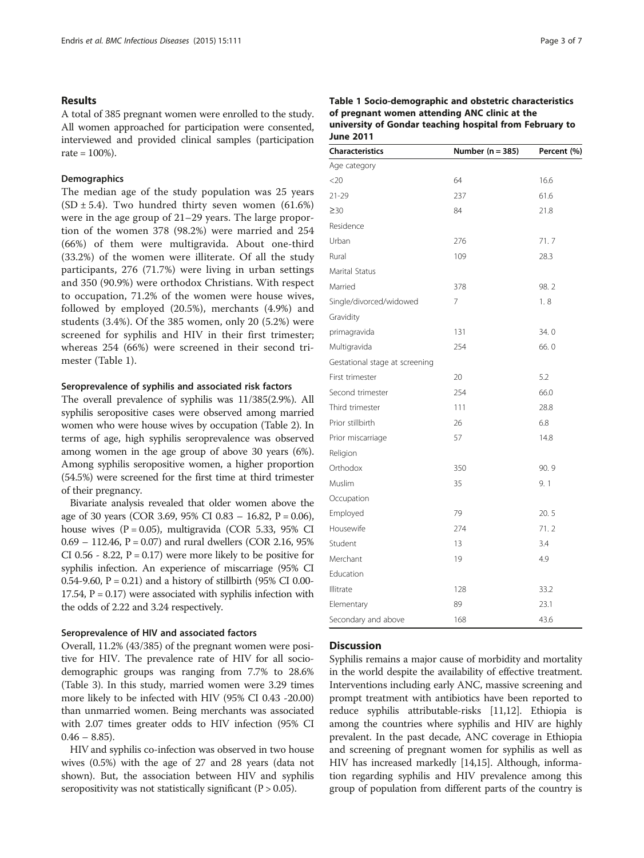#### Results

A total of 385 pregnant women were enrolled to the study. All women approached for participation were consented, interviewed and provided clinical samples (participation  $rate = 100\%).$ 

#### **Demographics**

The median age of the study population was 25 years (SD  $\pm$  5.4). Two hundred thirty seven women (61.6%) were in the age group of 21–29 years. The large proportion of the women 378 (98.2%) were married and 254 (66%) of them were multigravida. About one-third (33.2%) of the women were illiterate. Of all the study participants, 276 (71.7%) were living in urban settings and 350 (90.9%) were orthodox Christians. With respect to occupation, 71.2% of the women were house wives, followed by employed (20.5%), merchants (4.9%) and students (3.4%). Of the 385 women, only 20 (5.2%) were screened for syphilis and HIV in their first trimester; whereas 254 (66%) were screened in their second trimester (Table 1).

#### Seroprevalence of syphilis and associated risk factors

The overall prevalence of syphilis was 11/385(2.9%). All syphilis seropositive cases were observed among married women who were house wives by occupation (Table [2\)](#page-3-0). In terms of age, high syphilis seroprevalence was observed among women in the age group of above 30 years (6%). Among syphilis seropositive women, a higher proportion (54.5%) were screened for the first time at third trimester of their pregnancy.

Bivariate analysis revealed that older women above the age of 30 years (COR 3.69, 95% CI 0.83 – 16.82,  $P = 0.06$ ), house wives  $(P = 0.05)$ , multigravida (COR 5.33, 95% CI  $0.69 - 112.46$ ,  $P = 0.07$ ) and rural dwellers (COR 2.16, 95%) CI 0.56 - 8.22,  $P = 0.17$ ) were more likely to be positive for syphilis infection. An experience of miscarriage (95% CI 0.54-9.60, P = 0.21) and a history of stillbirth (95% CI 0.00-17.54,  $P = 0.17$ ) were associated with syphilis infection with the odds of 2.22 and 3.24 respectively.

#### Seroprevalence of HIV and associated factors

Overall, 11.2% (43/385) of the pregnant women were positive for HIV. The prevalence rate of HIV for all sociodemographic groups was ranging from 7.7% to 28.6% (Table [3](#page-4-0)). In this study, married women were 3.29 times more likely to be infected with HIV (95% CI 0.43 -20.00) than unmarried women. Being merchants was associated with 2.07 times greater odds to HIV infection (95% CI  $0.46 - 8.85$ ).

HIV and syphilis co-infection was observed in two house wives (0.5%) with the age of 27 and 28 years (data not shown). But, the association between HIV and syphilis seropositivity was not statistically significant ( $P > 0.05$ ).

| Table 1 Socio-demographic and obstetric characteristics |
|---------------------------------------------------------|
| of pregnant women attending ANC clinic at the           |
| university of Gondar teaching hospital from February to |
| June 2011                                               |

| <b>Characteristics</b>         | Number ( $n = 385$ ) | Percent (%) |
|--------------------------------|----------------------|-------------|
| Age category                   |                      |             |
| $<$ 20                         | 64                   | 16.6        |
| 21-29                          | 237                  | 61.6        |
| $\geq$ 30                      | 84                   | 21.8        |
| Residence                      |                      |             |
| Urban                          | 276                  | 71.7        |
| Rural                          | 109                  | 28.3        |
| Marital Status                 |                      |             |
| Married                        | 378                  | 98.2        |
| Single/divorced/widowed        | 7                    | 1.8         |
| Gravidity                      |                      |             |
| primagravida                   | 131                  | 34.0        |
| Multigravida                   | 254                  | 66.0        |
| Gestational stage at screening |                      |             |
| First trimester                | 20                   | 5.2         |
| Second trimester               | 254                  | 66.0        |
| Third trimester                | 111                  | 28.8        |
| Prior stillbirth               | 26                   | 6.8         |
| Prior miscarriage              | 57                   | 14.8        |
| Religion                       |                      |             |
| Orthodox                       | 350                  | 90.9        |
| Muslim                         | 35                   | 9.1         |
| Occupation                     |                      |             |
| Employed                       | 79                   | 20.5        |
| Housewife                      | 274                  | 71.2        |
| Student                        | 13                   | 3.4         |
| Merchant                       | 19                   | 4.9         |
| Education                      |                      |             |
| Illitrate                      | 128                  | 33.2        |
| Elementary                     | 89                   | 23.1        |
| Secondary and above            | 168                  | 43.6        |

#### **Discussion**

Syphilis remains a major cause of morbidity and mortality in the world despite the availability of effective treatment. Interventions including early ANC, massive screening and prompt treatment with antibiotics have been reported to reduce syphilis attributable-risks [\[11](#page-5-0)[,12\]](#page-6-0). Ethiopia is among the countries where syphilis and HIV are highly prevalent. In the past decade, ANC coverage in Ethiopia and screening of pregnant women for syphilis as well as HIV has increased markedly [\[14,15](#page-6-0)]. Although, information regarding syphilis and HIV prevalence among this group of population from different parts of the country is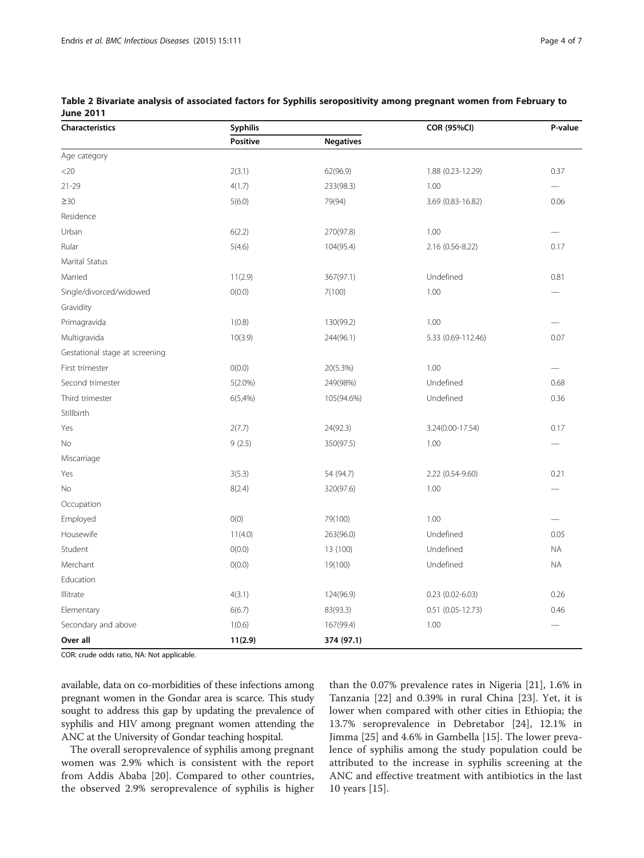| <b>Characteristics</b>         | <b>Syphilis</b> |                  | <b>COR (95%CI)</b>    | P-value   |
|--------------------------------|-----------------|------------------|-----------------------|-----------|
|                                | Positive        | <b>Negatives</b> |                       |           |
| Age category                   |                 |                  |                       |           |
| $<$ 20                         | 2(3.1)          | 62(96.9)         | 1.88 (0.23-12.29)     | 0.37      |
| $21 - 29$                      | 4(1.7)          | 233(98.3)        | 1.00                  |           |
| $\geq 30$                      | 5(6.0)          | 79(94)           | 3.69 (0.83-16.82)     | 0.06      |
| Residence                      |                 |                  |                       |           |
| Urban                          | 6(2.2)          | 270(97.8)        | 1.00                  |           |
| Rular                          | 5(4.6)          | 104(95.4)        | 2.16 (0.56-8.22)      | 0.17      |
| Marital Status                 |                 |                  |                       |           |
| Married                        | 11(2.9)         | 367(97.1)        | Undefined             | 0.81      |
| Single/divorced/widowed        | O(0.0)          | 7(100)           | 1.00                  |           |
| Gravidity                      |                 |                  |                       |           |
| Primagravida                   | 1(0.8)          | 130(99.2)        | 1.00                  |           |
| Multigravida                   | 10(3.9)         | 244(96.1)        | 5.33 (0.69-112.46)    | 0.07      |
| Gestational stage at screening |                 |                  |                       |           |
| First trimester                | O(0.0)          | 20(5.3%)         | 1.00                  |           |
| Second trimester               | $5(2.0\%)$      | 249(98%)         | Undefined             | 0.68      |
| Third trimester                | 6(5,4%)         | 105(94.6%)       | Undefined             | 0.36      |
| Stillbirth                     |                 |                  |                       |           |
| Yes                            | 2(7.7)          | 24(92.3)         | 3.24(0.00-17.54)      | 0.17      |
| No                             | 9(2.5)          | 350(97.5)        | 1.00                  |           |
| Miscarriage                    |                 |                  |                       |           |
| Yes                            | 3(5.3)          | 54 (94.7)        | 2.22 (0.54-9.60)      | 0.21      |
| No                             | 8(2.4)          | 320(97.6)        | 1.00                  |           |
| Occupation                     |                 |                  |                       |           |
| Employed                       | O(0)            | 79(100)          | 1.00                  |           |
| Housewife                      | 11(4.0)         | 263(96.0)        | Undefined             | 0.05      |
| Student                        | O(0.0)          | 13 (100)         | Undefined             | <b>NA</b> |
| Merchant                       | O(0.0)          | 19(100)          | Undefined             | <b>NA</b> |
| Education                      |                 |                  |                       |           |
| Illitrate                      | 4(3.1)          | 124(96.9)        | $0.23$ (0.02-6.03)    | 0.26      |
| Elementary                     | 6(6.7)          | 83(93.3)         | $0.51 (0.05 - 12.73)$ | 0.46      |
| Secondary and above            | 1(0.6)          | 167(99.4)        | 1.00                  |           |
| Over all                       | 11(2.9)         | 374 (97.1)       |                       |           |

<span id="page-3-0"></span>Table 2 Bivariate analysis of associated factors for Syphilis seropositivity among pregnant women from February to June 2011

COR: crude odds ratio, NA: Not applicable.

available, data on co-morbidities of these infections among pregnant women in the Gondar area is scarce. This study sought to address this gap by updating the prevalence of syphilis and HIV among pregnant women attending the ANC at the University of Gondar teaching hospital.

The overall seroprevalence of syphilis among pregnant women was 2.9% which is consistent with the report from Addis Ababa [\[20](#page-6-0)]. Compared to other countries, the observed 2.9% seroprevalence of syphilis is higher

than the 0.07% prevalence rates in Nigeria [\[21](#page-6-0)], 1.6% in Tanzania [\[22](#page-6-0)] and 0.39% in rural China [\[23](#page-6-0)]. Yet, it is lower when compared with other cities in Ethiopia; the 13.7% seroprevalence in Debretabor [[24\]](#page-6-0), 12.1% in Jimma [\[25](#page-6-0)] and 4.6% in Gambella [\[15](#page-6-0)]. The lower prevalence of syphilis among the study population could be attributed to the increase in syphilis screening at the ANC and effective treatment with antibiotics in the last 10 years [\[15](#page-6-0)].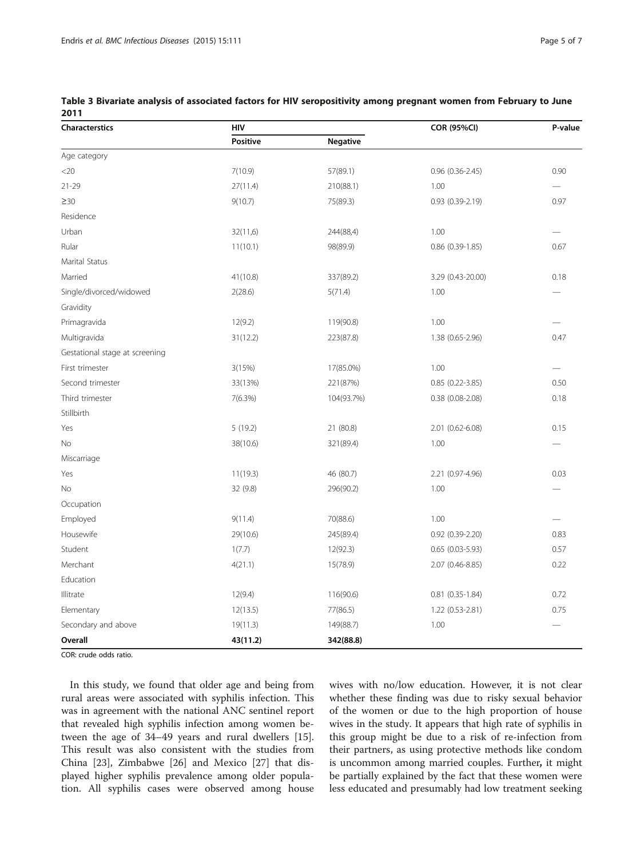| <b>Characterstics</b>          | <b>HIV</b>      |                 | <b>COR (95%CI)</b>   | P-value |
|--------------------------------|-----------------|-----------------|----------------------|---------|
|                                | <b>Positive</b> | <b>Negative</b> |                      |         |
| Age category                   |                 |                 |                      |         |
| $<$ 20                         | 7(10.9)         | 57(89.1)        | $0.96(0.36-2.45)$    | 0.90    |
| $21 - 29$                      | 27(11.4)        | 210(88.1)       | 1.00                 |         |
| $\geq$ 30                      | 9(10.7)         | 75(89.3)        | $0.93(0.39-2.19)$    | 0.97    |
| Residence                      |                 |                 |                      |         |
| Urban                          | 32(11,6)        | 244(88,4)       | 1.00                 |         |
| Rular                          | 11(10.1)        | 98(89.9)        | $0.86$ $(0.39-1.85)$ | 0.67    |
| Marital Status                 |                 |                 |                      |         |
| Married                        | 41(10.8)        | 337(89.2)       | 3.29 (0.43-20.00)    | 0.18    |
| Single/divorced/widowed        | 2(28.6)         | 5(71.4)         | 1.00                 |         |
| Gravidity                      |                 |                 |                      |         |
| Primagravida                   | 12(9.2)         | 119(90.8)       | 1.00                 |         |
| Multigravida                   | 31(12.2)        | 223(87.8)       | 1.38 (0.65-2.96)     | 0.47    |
| Gestational stage at screening |                 |                 |                      |         |
| First trimester                | 3(15%)          | 17(85.0%)       | 1.00                 |         |
| Second trimester               | 33(13%)         | 221(87%)        | 0.85 (0.22-3.85)     | 0.50    |
| Third trimester                | $7(6.3\%)$      | 104(93.7%)      | $0.38$ $(0.08-2.08)$ | 0.18    |
| Stillbirth                     |                 |                 |                      |         |
| Yes                            | 5(19.2)         | 21 (80.8)       | 2.01 (0.62-6.08)     | 0.15    |
| No                             | 38(10.6)        | 321(89.4)       | 1.00                 |         |
| Miscarriage                    |                 |                 |                      |         |
| Yes                            | 11(19.3)        | 46 (80.7)       | 2.21 (0.97-4.96)     | 0.03    |
| <b>No</b>                      | 32 (9.8)        | 296(90.2)       | 1.00                 |         |
| Occupation                     |                 |                 |                      |         |
| Employed                       | 9(11.4)         | 70(88.6)        | 1.00                 |         |
| Housewife                      | 29(10.6)        | 245(89.4)       | $0.92$ $(0.39-2.20)$ | 0.83    |
| Student                        | 1(7.7)          | 12(92.3)        | $0.65(0.03 - 5.93)$  | 0.57    |
| Merchant                       | 4(21.1)         | 15(78.9)        | 2.07 (0.46-8.85)     | 0.22    |
| Education                      |                 |                 |                      |         |
| Illitrate                      | 12(9.4)         | 116(90.6)       | $0.81$ $(0.35-1.84)$ | 0.72    |
| Elementary                     | 12(13.5)        | 77(86.5)        | 1.22 (0.53-2.81)     | 0.75    |
| Secondary and above            | 19(11.3)        | 149(88.7)       | 1.00                 |         |
| Overall                        | 43(11.2)        | 342(88.8)       |                      |         |

<span id="page-4-0"></span>Table 3 Bivariate analysis of associated factors for HIV seropositivity among pregnant women from February to June 2011

COR: crude odds ratio.

In this study, we found that older age and being from rural areas were associated with syphilis infection. This was in agreement with the national ANC sentinel report that revealed high syphilis infection among women between the age of 34–49 years and rural dwellers [\[15](#page-6-0)]. This result was also consistent with the studies from China [\[23\]](#page-6-0), Zimbabwe [\[26\]](#page-6-0) and Mexico [\[27](#page-6-0)] that displayed higher syphilis prevalence among older population. All syphilis cases were observed among house wives with no/low education. However, it is not clear whether these finding was due to risky sexual behavior of the women or due to the high proportion of house wives in the study. It appears that high rate of syphilis in this group might be due to a risk of re-infection from their partners, as using protective methods like condom is uncommon among married couples. Further, it might be partially explained by the fact that these women were less educated and presumably had low treatment seeking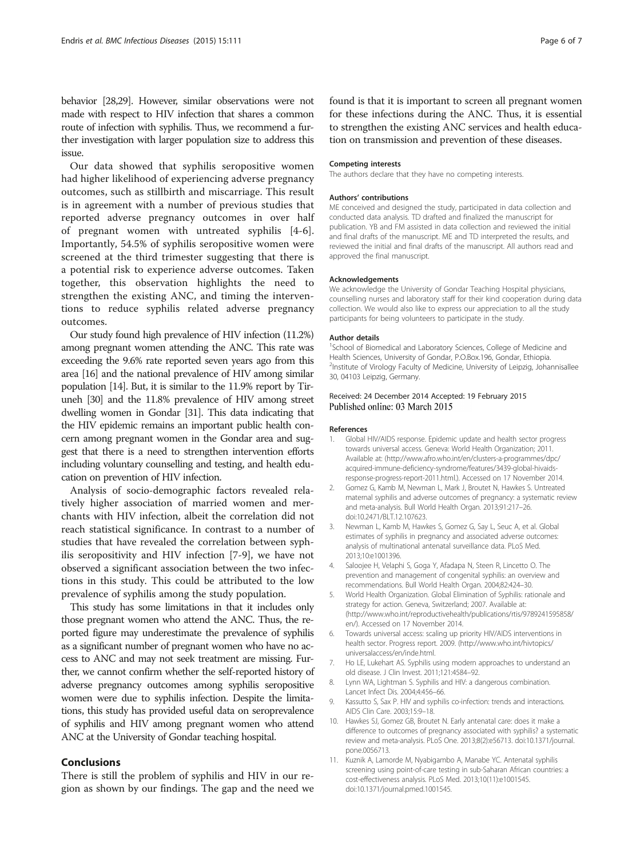<span id="page-5-0"></span>behavior [[28,29](#page-6-0)]. However, similar observations were not made with respect to HIV infection that shares a common route of infection with syphilis. Thus, we recommend a further investigation with larger population size to address this issue.

Our data showed that syphilis seropositive women had higher likelihood of experiencing adverse pregnancy outcomes, such as stillbirth and miscarriage. This result is in agreement with a number of previous studies that reported adverse pregnancy outcomes in over half of pregnant women with untreated syphilis [4-6]. Importantly, 54.5% of syphilis seropositive women were screened at the third trimester suggesting that there is a potential risk to experience adverse outcomes. Taken together, this observation highlights the need to strengthen the existing ANC, and timing the interventions to reduce syphilis related adverse pregnancy outcomes.

Our study found high prevalence of HIV infection (11.2%) among pregnant women attending the ANC. This rate was exceeding the 9.6% rate reported seven years ago from this area [[16\]](#page-6-0) and the national prevalence of HIV among similar population [\[14](#page-6-0)]. But, it is similar to the 11.9% report by Tiruneh [\[30\]](#page-6-0) and the 11.8% prevalence of HIV among street dwelling women in Gondar [\[31](#page-6-0)]. This data indicating that the HIV epidemic remains an important public health concern among pregnant women in the Gondar area and suggest that there is a need to strengthen intervention efforts including voluntary counselling and testing, and health education on prevention of HIV infection.

Analysis of socio-demographic factors revealed relatively higher association of married women and merchants with HIV infection, albeit the correlation did not reach statistical significance. In contrast to a number of studies that have revealed the correlation between syphilis seropositivity and HIV infection [7-9], we have not observed a significant association between the two infections in this study. This could be attributed to the low prevalence of syphilis among the study population.

This study has some limitations in that it includes only those pregnant women who attend the ANC. Thus, the reported figure may underestimate the prevalence of syphilis as a significant number of pregnant women who have no access to ANC and may not seek treatment are missing. Further, we cannot confirm whether the self-reported history of adverse pregnancy outcomes among syphilis seropositive women were due to syphilis infection. Despite the limitations, this study has provided useful data on seroprevalence of syphilis and HIV among pregnant women who attend ANC at the University of Gondar teaching hospital.

#### Conclusions

There is still the problem of syphilis and HIV in our region as shown by our findings. The gap and the need we found is that it is important to screen all pregnant women for these infections during the ANC. Thus, it is essential to strengthen the existing ANC services and health education on transmission and prevention of these diseases.

#### Competing interests

The authors declare that they have no competing interests.

#### Authors' contributions

ME conceived and designed the study, participated in data collection and conducted data analysis. TD drafted and finalized the manuscript for publication. YB and FM assisted in data collection and reviewed the initial and final drafts of the manuscript. ME and TD interpreted the results, and reviewed the initial and final drafts of the manuscript. All authors read and approved the final manuscript.

#### Acknowledgements

We acknowledge the University of Gondar Teaching Hospital physicians, counselling nurses and laboratory staff for their kind cooperation during data collection. We would also like to express our appreciation to all the study participants for being volunteers to participate in the study.

#### Author details

<sup>1</sup>School of Biomedical and Laboratory Sciences, College of Medicine and Health Sciences, University of Gondar, P.O.Box.196, Gondar, Ethiopia. <sup>2</sup>Institute of Virology Faculty of Medicine, University of Leipzig, Johannisallee 30, 04103 Leipzig, Germany.

#### Received: 24 December 2014 Accepted: 19 February 2015 Published online: 03 March 2015

#### References

- 1. Global HIV/AIDS response. Epidemic update and health sector progress towards universal access. Geneva: World Health Organization; 2011. Available at: ([http://www.afro.who.int/en/clusters-a-programmes/dpc/](http://www.afro.who.int/en/clusters-a-programmes/dpc/acquired-immune-deficiency-syndrome/features/3439-global-hivaids-response-progress-report-2011.html) [acquired-immune-deficiency-syndrome/features/3439-global-hivaids](http://www.afro.who.int/en/clusters-a-programmes/dpc/acquired-immune-deficiency-syndrome/features/3439-global-hivaids-response-progress-report-2011.html)[response-progress-report-2011.html](http://www.afro.who.int/en/clusters-a-programmes/dpc/acquired-immune-deficiency-syndrome/features/3439-global-hivaids-response-progress-report-2011.html).). Accessed on 17 November 2014.
- 2. Gomez G, Kamb M, Newman L, Mark J, Broutet N, Hawkes S. Untreated maternal syphilis and adverse outcomes of pregnancy: a systematic review and meta-analysis. Bull World Health Organ. 2013;91:217–26. doi:10.2471/BLT.12.107623.
- 3. Newman L, Kamb M, Hawkes S, Gomez G, Say L, Seuc A, et al. Global estimates of syphilis in pregnancy and associated adverse outcomes: analysis of multinational antenatal surveillance data. PLoS Med. 2013;10:e1001396.
- 4. Saloojee H, Velaphi S, Goga Y, Afadapa N, Steen R, Lincetto O. The prevention and management of congenital syphilis: an overview and recommendations. Bull World Health Organ. 2004;82:424–30.
- 5. World Health Organization. Global Elimination of Syphilis: rationale and strategy for action. Geneva, Switzerland; 2007. Available at: ([http://www.who.int/reproductivehealth/publications/rtis/9789241595858/](http://www.who.int/reproductivehealth/publications/rtis/9789241595858/en/) [en/](http://www.who.int/reproductivehealth/publications/rtis/9789241595858/en/)). Accessed on 17 November 2014.
- Towards universal access: scaling up priority HIV/AIDS interventions in health sector. Progress report. 2009. ([http://www.who.int/hivtopics/](http://www.who.int/hivtopics/universalaccess/en/inde.html) [universalaccess/en/inde.html.](http://www.who.int/hivtopics/universalaccess/en/inde.html)
- 7. Ho LE, Lukehart AS. Syphilis using modern approaches to understand an old disease. J Clin Invest. 2011;121:4584–92.
- 8. Lynn WA, Lightman S. Syphilis and HIV: a dangerous combination. Lancet Infect Dis. 2004;4:456–66.
- 9. Kassutto S, Sax P. HIV and syphilis co-infection: trends and interactions. AIDS Clin Care. 2003;15:9–18.
- 10. Hawkes SJ, Gomez GB, Broutet N. Early antenatal care: does it make a difference to outcomes of pregnancy associated with syphilis? a systematic review and meta-analysis. PLoS One. 2013;8(2):e56713. doi:10.1371/journal. pone.0056713.
- 11. Kuznik A, Lamorde M, Nyabigambo A, Manabe YC. Antenatal syphilis screening using point-of-care testing in sub-Saharan African countries: a cost-effectiveness analysis. PLoS Med. 2013;10(11):e1001545. doi:10.1371/journal.pmed.1001545.